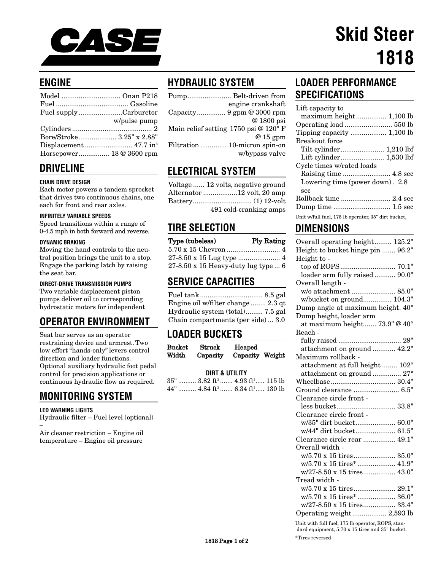

## **ENGINE**

| Fuel supplyCarburetor     |              |
|---------------------------|--------------|
|                           | w/pulse pump |
|                           |              |
| Bore/Stroke 3.25" x 2.88" |              |
|                           |              |
| Horsepower 18 @ 3600 rpm  |              |

## **DRIVELINE**

#### **CHAIN DRIVE DESIGN**

Each motor powers a tandem sprocket that drives two continuous chains, one each for front and rear axles.

#### **INFINITELY VARIABLE SPEEDS**

Speed transitions within a range of 0-4.5 mph in both forward and reverse.

#### **DYNAMIC BRAKING**

Moving the hand controls to the neutral position brings the unit to a stop. Engage the parking latch by raising the seat bar.

#### **DIRECT-DRIVE TRANSMISSION PUMPS**

Two variable displacement piston pumps deliver oil to corresponding hydrostatic motors for independent

## **OPERATOR ENVIRONMENT**

Seat bar serves as an operator restraining device and armrest. Two low effort "hands-only" levers control direction and loader functions. Optional auxiliary hydraulic foot pedal control for precision applications or continuous hydraulic flow as required.

# **MONITORING SYSTEM**

#### **LED WARNING LIGHTS**

Hydraulic filter – Fuel level (optional) –

Air cleaner restriction – Engine oil temperature – Engine oil pressure

# **HYDRAULIC SYSTEM**

| engine crankshaft                    |
|--------------------------------------|
|                                      |
| @ 1800 psi                           |
| Main relief setting 1750 psi @ 120°F |
| $@15$ gpm                            |
| Filtration  10-micron spin-on        |
| w/bypass valve                       |

### **ELECTRICAL SYSTEM**

| Voltage  12 volts, negative ground |
|------------------------------------|
| Alternator 12 volt, 20 amp         |
|                                    |
| 491 cold-cranking amps             |

### **TIRE SELECTION**

| Type (tubeless)                            | <b>Ply Rating</b> |
|--------------------------------------------|-------------------|
|                                            |                   |
|                                            |                   |
| $27-8.50 \times 15$ Heavy-duty lug type  6 |                   |

### **SERVICE CAPACITIES**

Fuel tank................................. 8.5 gal Engine oil w/filter change ........ 2.3 qt Hydraulic system (total)......... 7.5 gal Chain compartments (per side) ... 3.0

## **LOADER BUCKETS**

| <b>Bucket</b> | <b>Struck</b> | Heaped          |  |
|---------------|---------------|-----------------|--|
| Width         | Capacity      | Capacity Weight |  |

#### **DIRT & UTILITY**

|  | $35$ " $3.82 \text{ ft}^3$ $4.93 \text{ ft}^3$ $115 \text{ lb}$ |  |  |
|--|-----------------------------------------------------------------|--|--|
|  | 44"  4.84 ft <sup>3</sup> 6.34 ft <sup>3</sup> 130 lb           |  |  |

## **LOADER PERFORMANCE SPECIFICATIONS**

| Lift capacity to                                    |
|-----------------------------------------------------|
|                                                     |
|                                                     |
|                                                     |
| Breakout force                                      |
|                                                     |
|                                                     |
| Cycle times w/rated loads                           |
|                                                     |
| Lowering time (power down). 2.8                     |
| sec                                                 |
|                                                     |
|                                                     |
| Unit w/full fuel, 175 lb operator, 35" dirt bucket, |

### **DIMENSIONS**

| Overall operating height 125.2"   |
|-----------------------------------|
| Height to bucket hinge pin  96.2" |
| Height to -                       |
| top of ROPS 70.1"                 |
| loader arm fully raised  90.0"    |
| Overall length -                  |
| w/o attachment  85.0"             |
| w/bucket on ground 104.3"         |
| Dump angle at maximum height. 40° |
| Dump height, loader arm           |
| at maximum height  73.9" @ 40°    |
| Reach -                           |
|                                   |
| attachment on ground  42.2"       |
| Maximum rollback -                |
| attachment at full height  102°   |
| attachment on ground  27°         |
|                                   |
| Ground clearance  6.5"            |
| Clearance circle front -          |
| less bucket 33.8"                 |
| Clearance circle front -          |
| w/35" dirt bucket 60.0"           |
| w/44" dirt bucket 61.5"           |
| Clearance circle rear  49.1"      |
| Overall width -                   |
| w/5.70 x 15 tires 35.0"           |
| w/5.70 x 15 tires*  41.9"         |
| w/27-8.50 x 15 tires 43.0"        |
| Tread width -                     |
| w/5.70 x 15 tires 29.1"           |
|                                   |
| w/27-8.50 x 15 tires 33.4"        |
|                                   |
|                                   |

Unit with full fuel, 175 lb operator, ROPS, standard equipment, 5.70 x 15 tires and 35" bucket.